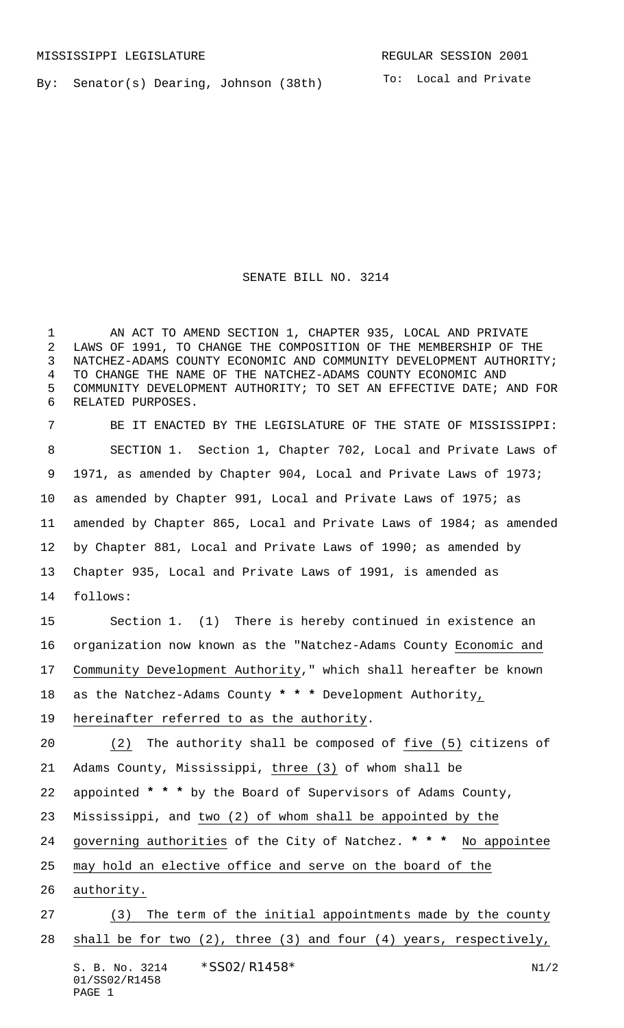By: Senator(s) Dearing, Johnson (38th)

To: Local and Private

## SENATE BILL NO. 3214

 AN ACT TO AMEND SECTION 1, CHAPTER 935, LOCAL AND PRIVATE LAWS OF 1991, TO CHANGE THE COMPOSITION OF THE MEMBERSHIP OF THE NATCHEZ-ADAMS COUNTY ECONOMIC AND COMMUNITY DEVELOPMENT AUTHORITY; TO CHANGE THE NAME OF THE NATCHEZ-ADAMS COUNTY ECONOMIC AND COMMUNITY DEVELOPMENT AUTHORITY; TO SET AN EFFECTIVE DATE; AND FOR RELATED PURPOSES.

 BE IT ENACTED BY THE LEGISLATURE OF THE STATE OF MISSISSIPPI: SECTION 1. Section 1, Chapter 702, Local and Private Laws of 1971, as amended by Chapter 904, Local and Private Laws of 1973; as amended by Chapter 991, Local and Private Laws of 1975; as amended by Chapter 865, Local and Private Laws of 1984; as amended by Chapter 881, Local and Private Laws of 1990; as amended by Chapter 935, Local and Private Laws of 1991, is amended as follows: Section 1. (1) There is hereby continued in existence an organization now known as the "Natchez-Adams County Economic and Community Development Authority," which shall hereafter be known

as the Natchez-Adams County **\* \* \*** Development Authority,

hereinafter referred to as the authority.

 (2) The authority shall be composed of five (5) citizens of Adams County, Mississippi, three (3) of whom shall be

appointed **\* \* \*** by the Board of Supervisors of Adams County,

Mississippi, and two (2) of whom shall be appointed by the

governing authorities of the City of Natchez. **\* \* \*** No appointee

may hold an elective office and serve on the board of the

- authority.
- (3) The term of the initial appointments made by the county 28 shall be for two (2), three (3) and four (4) years, respectively,